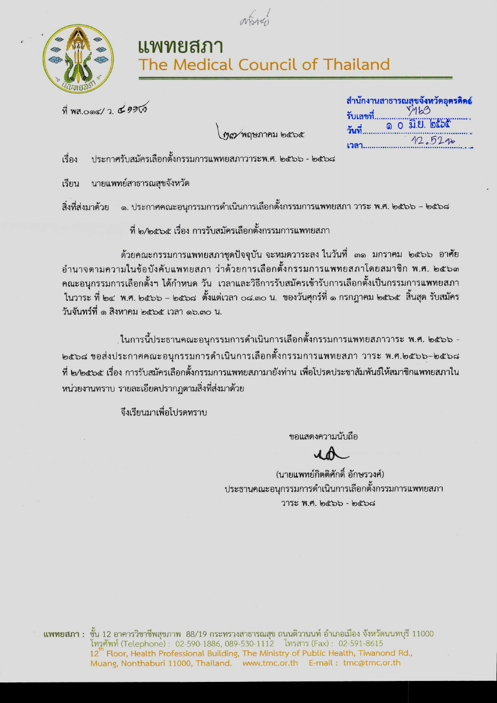



## แพทยสภา<br>The Medical Council of Thailand

ที่ พส.0ด๔/ว. ๕๑๑๙๑

|  |  | 12.522 |  |
|--|--|--------|--|

ทุก พฤษภาคม ๒๕๖๕

ประกาศรับสมัครเลือกตั้งกรรมการแพทยสภาวาระพ.ศ. ๒๕๖๖ - ๒๕๖๘ เรื่อง

เรียน นายแพทย์สาธารณสุขจังหวัด

ึ ๑. ประกาศคณะอนุกรรมการดำเนินการเลือกตั้งกรรมการแพทยสภา วาระ พ.ศ. ๒๕๖๖ – ๒๕๖๘ สิ่งที่ส่งมาด้วย

ที่ ๒/๒๕๖๕ เรื่อง การรับสมัครเลือกตั้

ots> ^^-a ^^^ruvi อำนาจตามความในข้อบังคับแพทยสภา ว่าด้วยการเลือกตั้งกรรมการแพทยสภาโดยสมาชิก พ.ศ. ๒๕๖๓<br>คณะอนกรรมการเลือกตั้งฯ ได้กำหนด วัน เวลาและวิธีการรับสมัครเข้ารับการเลือกตั้งเป็นกรรมการแพทยสภา ® \&<^d<z vl be: Y^.fl. b(bb -bd^^^ pf-au^in^n oai.cno u. วันจันทร์ที่ ๑ สิงหาคม ๒๕๖๕ เวลา ๑๖.๓๐ น.

,ในการนี้ประธานคณะอนุกรรมการดำเนินการเลือกตั้งกรรมการแพทยสภาวาระ พ.ศ. ๒๕๖๖ b๕๖๘ ขอส่งประกาศคณะอนุกรรมการดำเนินการเลือกตั้งกรรมการแพทยสภา วาระ พ.ศ.๒๕๖๖-๒๕๖๘ ู้ที่ ๒/๒๕๖๕ เรื่อง การรับสมัครเลือกตั้งกรรมการแพทยสภามายังท่าน เพื่อโปรดประชาสัมพันธ์ให้สมาชิกแพทยสภาใน หน่วยงานทราบ รายละเอียดปรากฏตามสิ่งที่ส่งมาด้วย

จึงเรียนมาเพื่อโปรดทราบ

ขอแสดงความนับถือ

(นายแพทย์กิตติศักดิ์ อักษรวงศ์) ี ประธานคณะอนุกรรมการดำเนินการเลือกตั้งกรรมการแพทยสภา  $775$  $8$  W.P.  $6655 - 6656$ 

 $\,$ แพทยสภา $\,$ : ชั้น 12 อาคารวิชาชีพสุขภาพ $\,$  88/19 กระทรวงสาธารณสุข ถนนติวานนท์ อำเภอเมือง จังหวัดนนทบุรี 11000 โทรูศัพท์ (Telephone) : 02-590-1886, 089-530-1112 โทรสาร (Fax) : 02-591-8615 12<sup>th</sup> Floor, Health Professional Building, The Ministry of Public Health, Tiwanond Rd., Muang, Nonthaburi 11000, Thailand, www.tmc.or.th E-mail: tmc@tmc.or.th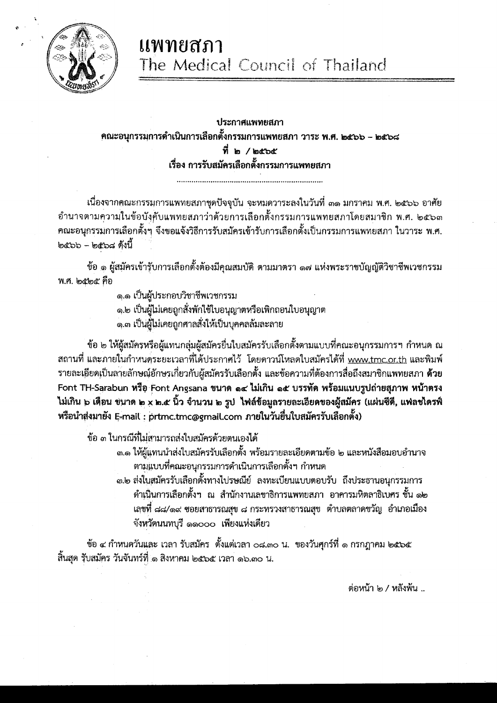

## ประกาศแพทยสภา ิคณะอนุกรรมการดำเนินการเลือกตั้งกรรมการแพทยสภา วาระ พ.ศ. ๒๕๖๖ – ๒๕๖๘ ที่ ๒ / ๒๕๖๕ เรื่อง การรับสมัครเลือกตั้งกรรมการแพทยสภา

้ เนื่องจากคุณะกรรมการแพทยสภาชุดปัจจุบัน จะหมดวาระลงในวันที่ ๓๑ มกราคม พ.ศ. ๒๕๖๖ อาศัย อำนาจตามความในข้อบังคับแพทยสภาว่าด้วยการเลือกตั้งกรรมการแพทยสภาโดยสมาชิก พ.ศ. ๒๕๖๓ คณะอนุกรรมการเลือกตั้งๆ จึงขอแจ้งวิธีการรับสมัครเข้ารับการเลือกตั้งเป็นกรรมการแพทยสภา ในวาระ พ.ศ.  $\mathbb{C}$ อะออ – ๒๕๖๘ ดังนี้

ข้อ ๑ ผู้สมัครเข้ารับการเลือกตั้งต้องมีคุณสมบัติ ตามมาตรา ๑๗ แห่งพระราชบัญญัติวิชาชีพเวชกรรม พ.ศ. ๒๕๒๕ คือ

๑.๑ เป็นผู้ประกอบวิชาชีพเวชกรรม

- ๑.๒ เป็นผู้ไม่เคยถูกสั่งพักใช้ใบอนุญาตหรือเพิกถอนใบอนุญาต
- ็ด.๓ เป็นผู้ไม่เคยถูกศาลสั่งให้เป็นบุคคลล้มละลาย

ข้อ ๒ ให้ผู้สมัครหรือผู้แทนกลุ่มผู้สมัครยื่นใบสมัครรับเลือกตั้งตามแบบที่คณะอนุกรรมการฯ กำหนด ณ สถานที่ และภายในกำหนดระยะเวลาที่ได้ประกาศไว้ โดยดาวน์โหลดใบสมัครได้ที่ www.tmc.or.th และพิมพ์ ู รายละเอียดเป็นลายลักษณ์อักษรเกี่ยวกับผู้สมัครรับเลือกตั้ง และข้อความที่ต้องการสื่อถึงสมาชิกแพทยสภา **ด้วย** Font TH-Sarabun หรือ Font Angsana ขนาด ๑๔ ไม่เกิน ๑๕ บรรทัด พร้อมแนบรูปถ่ายสุภาพ หน้าตรง ้ไม่เกิน ๖ เดือน ขนาด ๒ x ๒.๕ นิ้ว จำนวน ๒ รูป ไฟล์ข้อมูลรายละเอียดของผู้สมัคร (แผ่นซีดี, แฟลชไดรฟ์ หรือนำส่งมายัง E-mail : prtmc.tmc@email.com ภายในวันยื่นใบสมัครรับเลือกตั้ง)

ข้อ ๓ ในกรณีที่ไม่สามารถส่งใบสมัครด้วยตนเองได้

- .๓.๑ ให้ผู้แทนนำส่งใบสมัครรับเลือกตั้ง พร้อมรายละเอียดตามข้อ ๒ และหนังสือมอบอำนาจ ตามแบบที่คณะอนุกรรมการดำเนินการเลือกตั้งฯ กำหนด
- .๓.๒ ส่งใบสมัครรับเลือกตั้งทางไปรษณีย์ ลงทะเบียนแบบตอบรับ ถึงประธานอนุกรรมการ ตำเนินการเลือกตั้งฯ ณ สำนักงานเลขาธิการแพทยสภา อาคารมหิตลาธิเบศร ชั้น ๑๒ เลขุที่ ๘๘/๑๙ ซอยสาธารณสุข ๘ กระทรวงสาธารณสุข ตำบลตลาดขวัญ อำเภอเมือง จังหวัดนนทบุรี ๑๑๐๐๐ เพียงแห่งเดียว

์ ข้อ ๔ กำหนดวันและ เวลา รับสมัคร ตั้งแต่เวลา ๐๘.๓๐ น. ของวันศุกร์ที่ ๑ กรกฎาคม ๒๕๖๕ สิ้นสุด รับสมัคร วันจันทร์ที่ ๑ สิงหาคม ๒๕๖๕ เวลา ๑๖.๓๐ น.

ต่อหน้า ๒ / หลังพ้น ..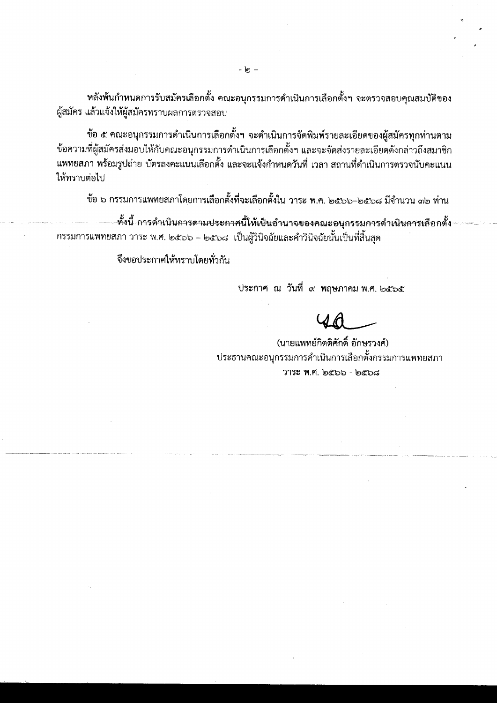หลังพ้นกำหนดการรับสมัครเลือกตั้ง คณะอนุกรรมการดำเนินการเลือกตั้งฯ จะตรวจสอบคุณสมบัติของ ผู้สมัคร แล้วแจ้งให้ผู้สมัครทราบผลการตรวจสอบ

ข้อ ๕ คณะอนุกรรมการดำเนินการเลือกตั้งฯ จะดำเนินการจัดพิมพ์รายละเอียดของผู้สมัครทุกท่านตาม ข้อความที่ผู้สมัครส่งมอบให้กับคณะอนุกรรมการดำเนินการเลือกตั้งฯ และจะจัดส่งรายละเอียดดังกล่าวถึงสมาชิก ้แพทยสภา พร้อมรูปถ่าย บัตรลงคะแนนเลือกตั้ง และจะแจ้งกำหนดวันที่ เวลา สถานที่ดำเนินการตรวจนับคะแนน ให้ทราบต่อไป

ข้อ ๖ กรรมการแพทยสภาโดยการเลือกตั้งที่จะเลือกตั้งใน วาระ พ.ศ. ๒๕๖๖–๒๕๖๘ มีจำนวน ๓๒ ท่าน

หั้งนี้ การดำเนิน<del>การตามประกาศนี้ให้เป็นอำ</del>นาจของคณะอนุกรรมการดำเนินการเลือกตั้ง กรรมการแพทยสภา วาระ พ.ศ. ๒๕๖๖ – ๒๕๖๘ เป็นผู้วินิจฉัยและคำวินิจฉัยนั้นเป็นที่สิ้นสุด

จึงขอประกาศให้ทราบโดยทั่วกัน

ประกาศ ณ วันที่ ๙ พฤษภาคม พ.ศ. ๒๕๖๕

(นายแพทย์กิตติศักดิ์ อักษรวงศ์) ประธานคณะอนุกรรมการดำเนินการเลือกตั้งกรรมการแพทยสภา วาระ พ.ศ. ๒๕๖๖ - ๒๕๖๘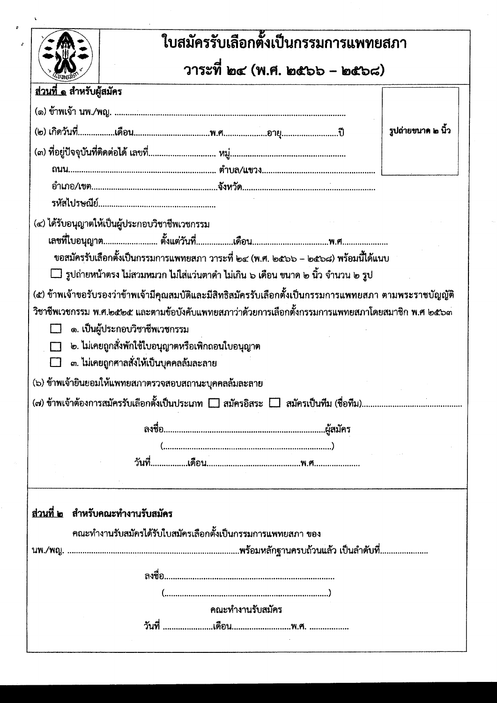|                                         | ใบสมัครรับเลือกตั้งเป็นกรรมการแพทยสภา                                                                                          |                    |
|-----------------------------------------|--------------------------------------------------------------------------------------------------------------------------------|--------------------|
|                                         | วาระที่ ๒๔ (พ.ศ. ๒๕๖๖ – ๒๕๖๘)                                                                                                  |                    |
| <u>ส่วนที่ ๑</u> สำหรับผู้สมัคร         |                                                                                                                                |                    |
|                                         |                                                                                                                                |                    |
|                                         |                                                                                                                                | รูปถ่ายขนาด ๒ นิ้ว |
|                                         |                                                                                                                                |                    |
|                                         |                                                                                                                                |                    |
|                                         |                                                                                                                                |                    |
|                                         |                                                                                                                                |                    |
|                                         | (๔) ได้รับอนุญาตให้เป็นผู้ประกอบวิชาชีพเวชกรรม                                                                                 |                    |
|                                         |                                                                                                                                |                    |
|                                         | ขอสมัครรับเลือกตั้งเป็นกรรมการแพทยสภา วาระที่ ๒๔ (พ.ศ. ๒๕๖๖ – ๒๕๖๘) พร้อมนี้ได้แนบ                                             |                    |
|                                         | $\Box$ รูปถ่ายหน้าตรง ไม่สวมหมวก ไม่ใส่แว่นตาดำ ไม่เกิน ๖ เดือน ขนาด ๒ นิ้ว จำนวน ๒ รูป                                        |                    |
|                                         | ๑. เป็นผู้ประกอบวิชาชีพเวชกรรม<br>๒. ไม่เคยถูกสั่งพักใช้ใบอนุญาตหรือเพิกถอนใบอนุญาต<br>๓. ไม่เคยถูกศาลสั่งให้เป็นบุคคลล้มละลาย |                    |
|                                         | (๖) ข้าพเจ้ายินยอมให้แพทยสภาตรวจสอบสถานะบุคคลล้มละลาย                                                                          |                    |
|                                         |                                                                                                                                |                    |
|                                         |                                                                                                                                |                    |
|                                         |                                                                                                                                |                    |
|                                         |                                                                                                                                |                    |
|                                         |                                                                                                                                |                    |
|                                         |                                                                                                                                |                    |
|                                         |                                                                                                                                |                    |
|                                         |                                                                                                                                |                    |
|                                         | ึคณะทำงานรับสมัครได้รับใบสมัครเลือกตั้งเป็นกรรมการแพทยสภา ของ                                                                  |                    |
|                                         |                                                                                                                                |                    |
| <u>ส่วนที่ ๒</u> สำหรับคณะทำงานรับสมัคร |                                                                                                                                |                    |
|                                         |                                                                                                                                |                    |
|                                         | คณะทำงานรับสมัคร                                                                                                               |                    |

 $\bullet$ 

J.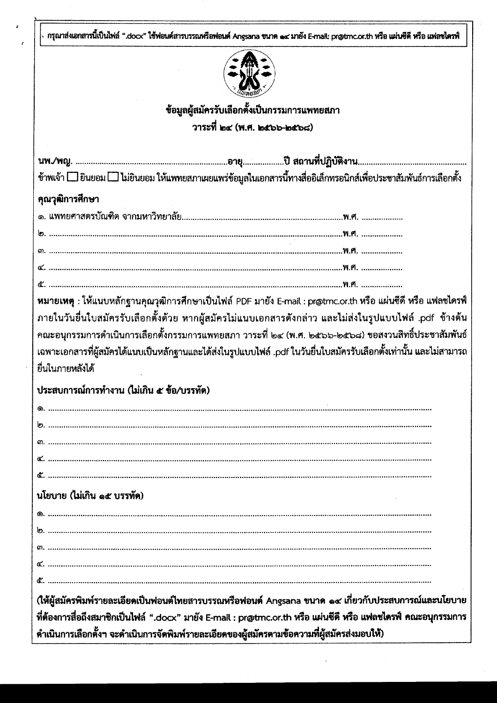กรุณาส่งเอกสารนี้เป็นไฟล์ ".docx" ใช้ฟอนต์สารบรรณหรือฟอนต์ Angsana ขนาด ๑๔ มายัง E-mail: pr@tmc.or.th หรือ แผ่นซีดี หรือ แฟลชไดรฟ์



ข้อมูลผู้สมัครรับเลือกตั้งเป็นกรรมการแพทยสภา

วาระที่ ๒๔ (พ.ศ. ๒๕๖๖-๒๕๖๘)

ข้าพเจ้า [\_] ยินยอม [\_] ไม่ยินยอม ให้แพทยสภาเผยแพร่ข้อมูลในเอกสารนี้ทางสื่ออิเล็กทรอนิกส์เพื่อประชาสัมพันธ์การเลือกตั้ง คุณวุฒิการศึกษา  $\mathbf{W}$  of  $\mathbf{M}$ หมายเหตุ : ให้แนบหลักฐานคุณวุฒิการศึกษาเป็นไฟล์ PDF มายัง E-mail : pr@tmc.or.th หรือ แผ่นซีดี หรือ แฟลซไดรฟ์ ภายในวันยื่นใบสมัครรับเลือกตั้งด้วย หากผู้สมัครไม่แนบเอกสารดังกล่าว และไม่ส่งในรูปแบบไฟล์ .pdf ข้างต้น คณะอนุกรรมการดำเนินการเลือกตั้งกรรมการแพทยสภา วาระที่ ๒๔ (พ.ศ. ๒๕๖๖-๒๕๖๘) ขอสงวนสิทธิ์ประชาสัมพันธ์ เฉพาะเอกสารที่ผู้สมัครได้แนบเป็นหลักฐานและได้ส่งในรูปแบบไฟล์ .pdf ในวันยื่นใบสมัครรับเลือกตั้งเท่านั้น และไม่สามารถ ยื่นในภายหลังได้ าไระสบการณ์การทำงาน (ไม่เกิน ๙ ข้อ/บรรทัด) นโยบาย (ไม่เกิน ๑๕ บรรทัด) (ให้ผู้สมัครพิมพ์รายละเอียดเป็นฟอนต์ไทยสารบรรณหรือฟอนต์ Angsana ขนาด ๑๔ เกี่ยวกับประสบการณ์และนโยบาย ที่ต้องการสื่อถึงสมาชิกเป็นไฟล์ ".docx" มายัง E-mail : pr@tmc.or.th หรือ แผ่นซีดี หรือ แฟลชไดรฟ์ คณะอนุกรรมการ ดำเนินการเลือกตั้งฯ จะดำเนินการจัดพิมพ์รายละเอียดของผู้สมัครตามข้อความที่ผู้สมัครส่งมอบให้)